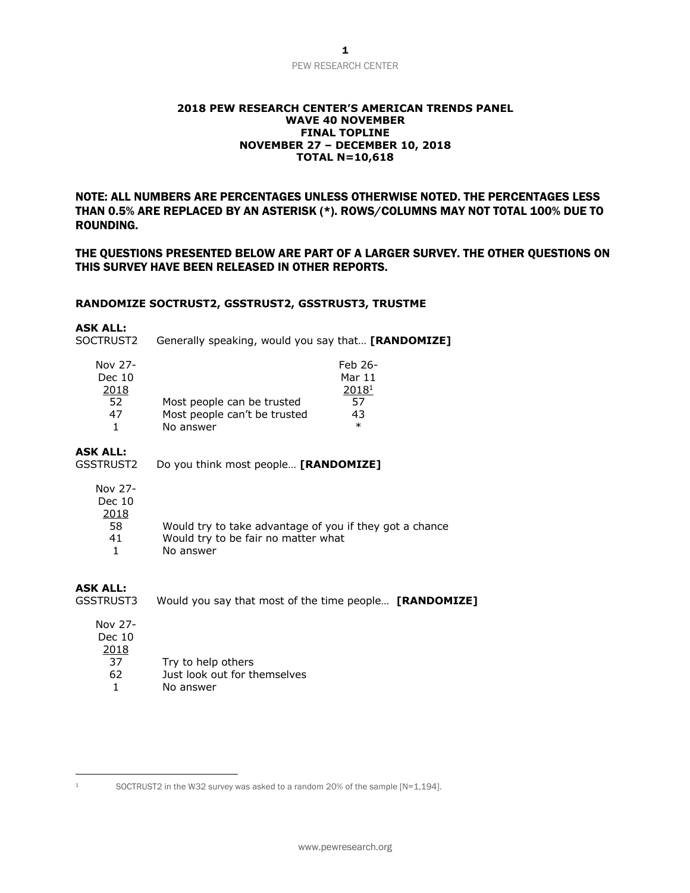## PEW RESEARCH CENTER

#### **2018 PEW RESEARCH CENTER'S AMERICAN TRENDS PANEL WAVE 40 NOVEMBER FINAL TOPLINE NOVEMBER 27 – DECEMBER 10, 2018 TOTAL N=10,618**

NOTE: ALL NUMBERS ARE PERCENTAGES UNLESS OTHERWISE NOTED. THE PERCENTAGES LESS THAN 0.5% ARE REPLACED BY AN ASTERISK (\*). ROWS/COLUMNS MAY NOT TOTAL 100% DUE TO ROUNDING.

THE QUESTIONS PRESENTED BELOW ARE PART OF A LARGER SURVEY. THE OTHER QUESTIONS ON THIS SURVEY HAVE BEEN RELEASED IN OTHER REPORTS.

#### **RANDOMIZE SOCTRUST2, GSSTRUST2, GSSTRUST3, TRUSTME**

#### **ASK ALL:**

SOCTRUST2 Generally speaking, would you say that… **[RANDOMIZE]**

| Nov 27- |                              | Feb 26- |
|---------|------------------------------|---------|
| Dec 10  |                              | Mar 11  |
| 2018    |                              | 20181   |
| 52      | Most people can be trusted   | 57      |
| 47      | Most people can't be trusted | 43      |
|         | No answer                    | $\ast$  |

#### **ASK ALL:**

GSSTRUST2 Do you think most people… **[RANDOMIZE]**

| Nov |  |
|-----|--|
|     |  |

| c |  |
|---|--|
|   |  |

| 2018 |                                                         |
|------|---------------------------------------------------------|
| 58   | Would try to take advantage of you if they got a chance |
| -41  | Would try to be fair no matter what                     |
|      | No answer                                               |
|      |                                                         |

### **ASK ALL:**

GSSTRUST3 Would you say that most of the time people… **[RANDOMIZE]**

| Nov 27- |  |
|---------|--|
| Dec 10  |  |
| 2018    |  |
| 37      |  |
| 67      |  |

- Try to help others 62 Just look out for themselves
- 1 No answer

<sup>1</sup> SOCTRUST2 in the W32 survey was asked to a random 20% of the sample [N=1,194].